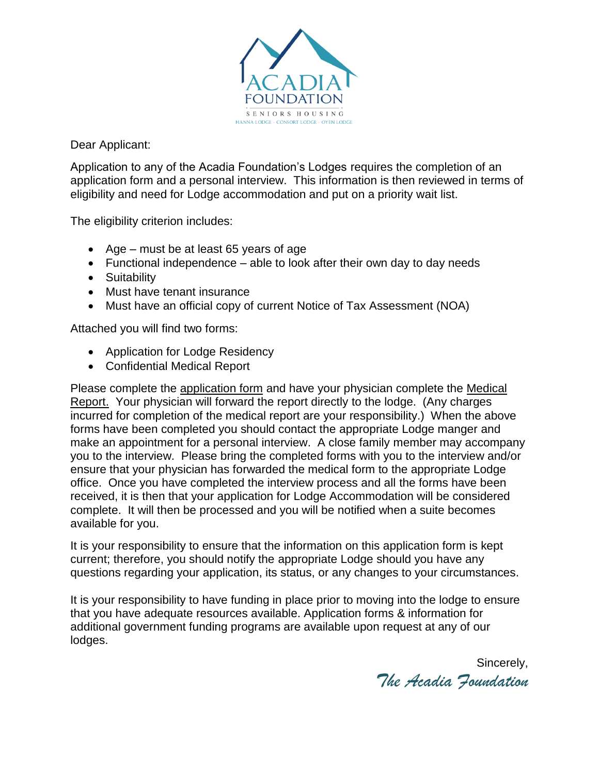

Dear Applicant:

Application to any of the Acadia Foundation's Lodges requires the completion of an application form and a personal interview. This information is then reviewed in terms of eligibility and need for Lodge accommodation and put on a priority wait list.

The eligibility criterion includes:

- Age must be at least 65 years of age
- $\bullet$  Functional independence able to look after their own day to day needs
- Suitability
- Must have tenant insurance
- Must have an official copy of current Notice of Tax Assessment (NOA)

Attached you will find two forms:

- Application for Lodge Residency
- Confidential Medical Report

Please complete the application form and have your physician complete the Medical Report. Your physician will forward the report directly to the lodge. (Any charges incurred for completion of the medical report are your responsibility.) When the above forms have been completed you should contact the appropriate Lodge manger and make an appointment for a personal interview. A close family member may accompany you to the interview. Please bring the completed forms with you to the interview and/or ensure that your physician has forwarded the medical form to the appropriate Lodge office. Once you have completed the interview process and all the forms have been received, it is then that your application for Lodge Accommodation will be considered complete. It will then be processed and you will be notified when a suite becomes available for you.

It is your responsibility to ensure that the information on this application form is kept current; therefore, you should notify the appropriate Lodge should you have any questions regarding your application, its status, or any changes to your circumstances.

It is your responsibility to have funding in place prior to moving into the lodge to ensure that you have adequate resources available. Application forms & information for additional government funding programs are available upon request at any of our lodges.

Sincerely, *The Acadia Foundation*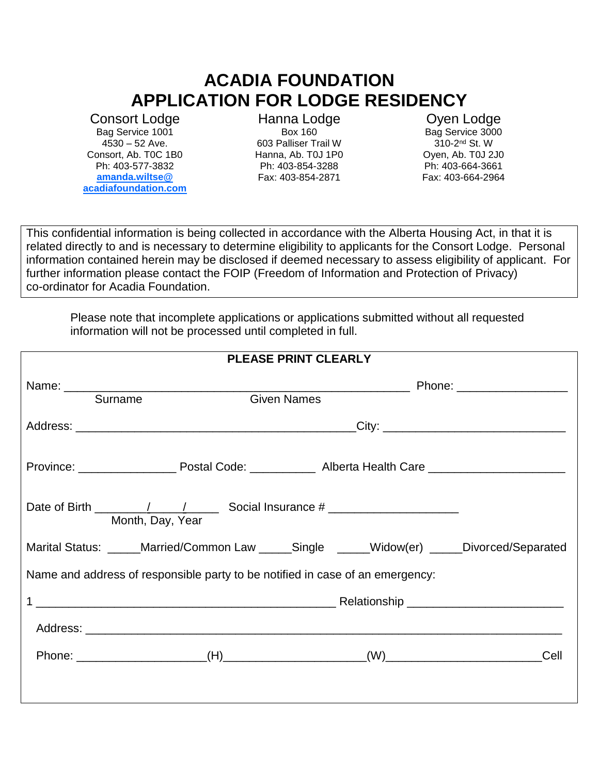# **ACADIA FOUNDATION APPLICATION FOR LODGE RESIDENCY**

Consort Lodge Bag Service 1001 4530 – 52 Ave. Consort, Ab. T0C 1B0 Ph: 403-577-3832 **amanda.wiltse@ acadiafoundation.com**

Hanna Lodge Box 160 603 Palliser Trail W Hanna, Ab. T0J 1P0 Ph: 403-854-3288 Fax: 403-854-2871

Oyen Lodge Bag Service 3000 310-2<sup>nd</sup> St. W Oyen, Ab. T0J 2J0 Ph: 403-664-3661 Fax: 403-664-2964

This confidential information is being collected in accordance with the Alberta Housing Act, in that it is related directly to and is necessary to determine eligibility to applicants for the Consort Lodge. Personal information contained herein may be disclosed if deemed necessary to assess eligibility of applicant. For further information please contact the FOIP (Freedom of Information and Protection of Privacy) co-ordinator for Acadia Foundation.

Please note that incomplete applications or applications submitted without all requested information will not be processed until completed in full.

|                                                                                                                                                                                                                                                                                                                                                                                                            |                  | <b>PLEASE PRINT CLEARLY</b> |      |
|------------------------------------------------------------------------------------------------------------------------------------------------------------------------------------------------------------------------------------------------------------------------------------------------------------------------------------------------------------------------------------------------------------|------------------|-----------------------------|------|
| Surname                                                                                                                                                                                                                                                                                                                                                                                                    |                  | <b>Given Names</b>          |      |
|                                                                                                                                                                                                                                                                                                                                                                                                            |                  |                             |      |
|                                                                                                                                                                                                                                                                                                                                                                                                            |                  |                             |      |
| Date of Birth $\frac{1}{\sqrt{1-\frac{1}{1-\frac{1}{1-\frac{1}{1-\frac{1}{1-\frac{1}{1-\frac{1}{1-\frac{1}{1-\frac{1}{1-\frac{1}{1-\frac{1}{1-\frac{1}{1-\frac{1}{1-\frac{1}{1-\frac{1}{1-\frac{1}{1-\frac{1}{1-\frac{1}{1-\frac{1}{1-\frac{1}{1-\frac{1}{1-\frac{1}{1-\frac{1}{1-\frac{1}{1-\frac{1}{1-\frac{1}{1-\frac{1}{1-\frac{1}{1-\frac{1}{1-\frac{1}{1-\frac{1}{1-\frac{1}{1-\frac{1}{1-\frac{1}{$ | Month, Day, Year |                             |      |
| Marital Status: _____Married/Common Law _____Single _____Widow(er) _____Divorced/Separated                                                                                                                                                                                                                                                                                                                 |                  |                             |      |
| Name and address of responsible party to be notified in case of an emergency:                                                                                                                                                                                                                                                                                                                              |                  |                             |      |
|                                                                                                                                                                                                                                                                                                                                                                                                            |                  |                             |      |
|                                                                                                                                                                                                                                                                                                                                                                                                            |                  |                             |      |
|                                                                                                                                                                                                                                                                                                                                                                                                            |                  |                             | Cell |
|                                                                                                                                                                                                                                                                                                                                                                                                            |                  |                             |      |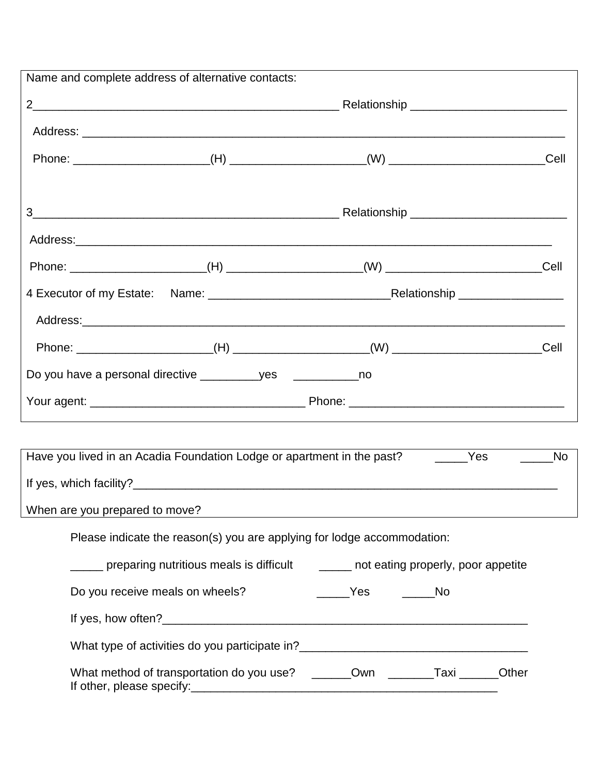|                                | Name and complete address of alternative contacts:                                    |                     |                 |  |  |
|--------------------------------|---------------------------------------------------------------------------------------|---------------------|-----------------|--|--|
|                                |                                                                                       |                     |                 |  |  |
|                                |                                                                                       |                     |                 |  |  |
|                                |                                                                                       |                     |                 |  |  |
|                                |                                                                                       |                     |                 |  |  |
|                                |                                                                                       |                     |                 |  |  |
|                                |                                                                                       |                     |                 |  |  |
|                                |                                                                                       |                     |                 |  |  |
|                                |                                                                                       |                     |                 |  |  |
|                                |                                                                                       |                     | $\mathsf{Cell}$ |  |  |
|                                |                                                                                       |                     |                 |  |  |
|                                |                                                                                       |                     |                 |  |  |
|                                |                                                                                       |                     |                 |  |  |
|                                | Have you lived in an Acadia Foundation Lodge or apartment in the past? ________Yes    |                     | <b>No</b>       |  |  |
|                                |                                                                                       |                     |                 |  |  |
| When are you prepared to move? |                                                                                       |                     |                 |  |  |
|                                | Please indicate the reason(s) you are applying for lodge accommodation:               |                     |                 |  |  |
|                                | ____ preparing nutritious meals is difficult _____ not eating properly, poor appetite |                     |                 |  |  |
|                                | Do you receive meals on wheels?                                                       | ______Yes ______ No |                 |  |  |
|                                |                                                                                       |                     |                 |  |  |
|                                |                                                                                       |                     |                 |  |  |
|                                |                                                                                       |                     |                 |  |  |
|                                | What method of transportation do you use? _______Own ________Taxi ______Other         |                     |                 |  |  |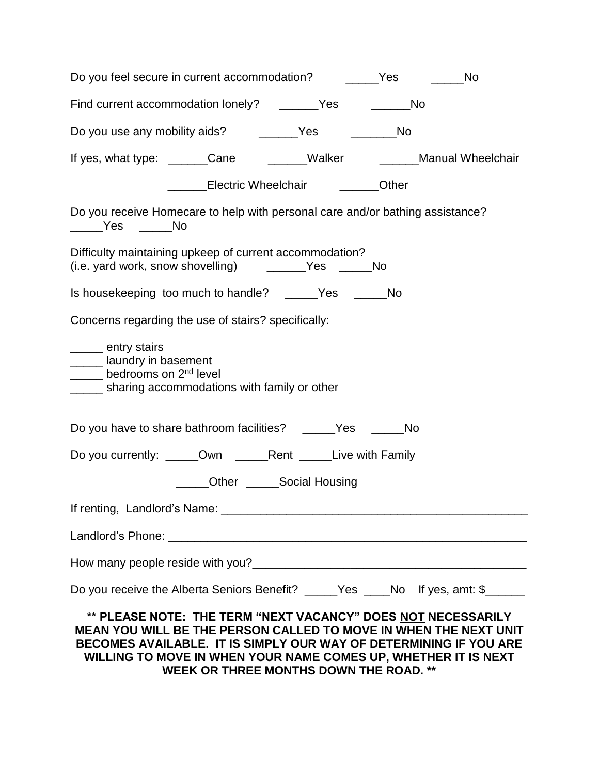| Do you feel secure in current accommodation? _______Yes ________No                                                                                                                                                                                                      |  |
|-------------------------------------------------------------------------------------------------------------------------------------------------------------------------------------------------------------------------------------------------------------------------|--|
| Find current accommodation lonely? ______Yes _______No                                                                                                                                                                                                                  |  |
| Do you use any mobility aids? ________Yes ____________No                                                                                                                                                                                                                |  |
| If yes, what type: ______Cane _______Walker _______Manual Wheelchair                                                                                                                                                                                                    |  |
| Lectric Wheelchair <b>Communist Club</b> Citer                                                                                                                                                                                                                          |  |
| Do you receive Homecare to help with personal care and/or bathing assistance?<br>_____Yes _____No                                                                                                                                                                       |  |
| Difficulty maintaining upkeep of current accommodation?<br>(i.e. yard work, snow shovelling) _________Yes ______No                                                                                                                                                      |  |
| Is housekeeping too much to handle? _____Yes _____No                                                                                                                                                                                                                    |  |
| Concerns regarding the use of stairs? specifically:                                                                                                                                                                                                                     |  |
| <u>__</u> __ entry stairs<br>_____ laundry in basement<br>bedrooms on 2 <sup>nd</sup> level<br>_____ sharing accommodations with family or other                                                                                                                        |  |
| Do you have to share bathroom facilities? ______Yes ______No                                                                                                                                                                                                            |  |
| Do you currently: _____Own ______Rent _____Live with Family                                                                                                                                                                                                             |  |
| ____Other ______Social Housing                                                                                                                                                                                                                                          |  |
|                                                                                                                                                                                                                                                                         |  |
|                                                                                                                                                                                                                                                                         |  |
|                                                                                                                                                                                                                                                                         |  |
| Do you receive the Alberta Seniors Benefit? _____Yes ____No If yes, amt: \$_____                                                                                                                                                                                        |  |
| ** PLEASE NOTE: THE TERM "NEXT VACANCY" DOES NOT NECESSARILY<br>MEAN YOU WILL BE THE PERSON CALLED TO MOVE IN WHEN THE NEXT UNIT<br>BECOMES AVAILABLE. IT IS SIMPLY OUR WAY OF DETERMINING IF YOU ARE<br>WILLING TO MOVE IN WHEN YOUR NAME COMES UP, WHETHER IT IS NEXT |  |

**WEEK OR THREE MONTHS DOWN THE ROAD. \*\***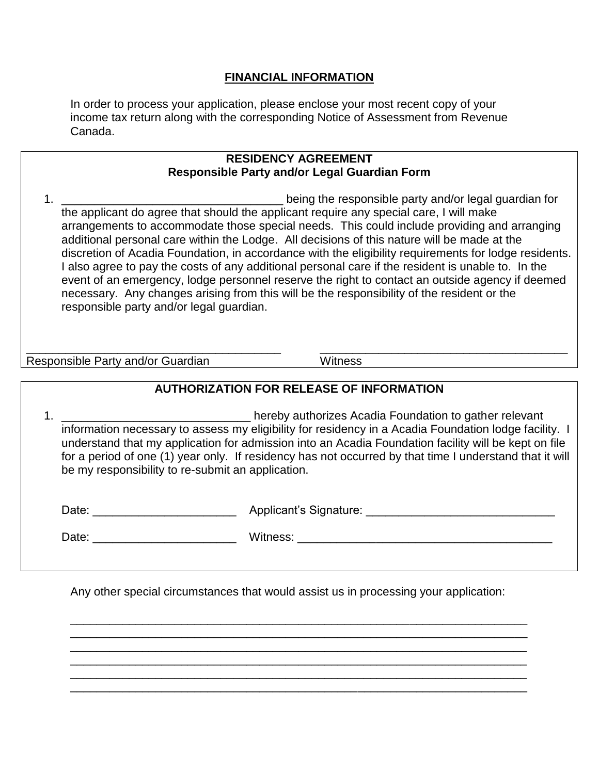#### **FINANCIAL INFORMATION**

In order to process your application, please enclose your most recent copy of your income tax return along with the corresponding Notice of Assessment from Revenue Canada.

| <b>RESIDENCY AGREEMENT</b>                          |  |
|-----------------------------------------------------|--|
| <b>Responsible Party and/or Legal Guardian Form</b> |  |

1. the applicant do agree that should the applicant require any special care, I will make arrangements to accommodate those special needs. This could include providing and arranging additional personal care within the Lodge. All decisions of this nature will be made at the discretion of Acadia Foundation, in accordance with the eligibility requirements for lodge residents. I also agree to pay the costs of any additional personal care if the resident is unable to. In the event of an emergency, lodge personnel reserve the right to contact an outside agency if deemed necessary. Any changes arising from this will be the responsibility of the resident or the responsible party and/or legal guardian.

Responsible Party and/or Guardian Microsoft Controllery Witness

### **AUTHORIZATION FOR RELEASE OF INFORMATION**

\_\_\_\_\_\_\_\_\_\_\_\_\_\_\_\_\_\_\_\_\_\_\_\_\_\_\_\_\_\_\_\_\_\_\_\_\_\_\_ \_\_\_\_\_\_\_\_\_\_\_\_\_\_\_\_\_\_\_\_\_\_\_\_\_\_\_\_\_\_\_\_\_\_\_\_\_\_

1. \_\_\_\_\_\_\_\_\_\_\_\_\_\_\_\_\_\_\_\_\_\_\_\_\_\_\_\_\_\_\_\_\_\_\_hereby authorizes Acadia Foundation to gather relevant information necessary to assess my eligibility for residency in a Acadia Foundation lodge facility. I understand that my application for admission into an Acadia Foundation facility will be kept on file for a period of one (1) year only. If residency has not occurred by that time I understand that it will be my responsibility to re-submit an application.

| Date: | Applicant's Signature: |  |
|-------|------------------------|--|
|       |                        |  |

Date: \_\_\_\_\_\_\_\_\_\_\_\_\_\_\_\_\_\_\_\_\_\_ Witness: \_\_\_\_\_\_\_\_\_\_\_\_\_\_\_\_\_\_\_\_\_\_\_\_\_\_\_\_\_\_\_\_\_\_\_\_\_\_\_

Any other special circumstances that would assist us in processing your application:

\_\_\_\_\_\_\_\_\_\_\_\_\_\_\_\_\_\_\_\_\_\_\_\_\_\_\_\_\_\_\_\_\_\_\_\_\_\_\_\_\_\_\_\_\_\_\_\_\_\_\_\_\_\_\_\_\_\_\_\_\_\_\_\_\_\_\_\_\_\_ \_\_\_\_\_\_\_\_\_\_\_\_\_\_\_\_\_\_\_\_\_\_\_\_\_\_\_\_\_\_\_\_\_\_\_\_\_\_\_\_\_\_\_\_\_\_\_\_\_\_\_\_\_\_\_\_\_\_\_\_\_\_\_\_\_\_\_\_\_\_ \_\_\_\_\_\_\_\_\_\_\_\_\_\_\_\_\_\_\_\_\_\_\_\_\_\_\_\_\_\_\_\_\_\_\_\_\_\_\_\_\_\_\_\_\_\_\_\_\_\_\_\_\_\_\_\_\_\_\_\_\_\_\_\_\_\_\_\_\_\_ \_\_\_\_\_\_\_\_\_\_\_\_\_\_\_\_\_\_\_\_\_\_\_\_\_\_\_\_\_\_\_\_\_\_\_\_\_\_\_\_\_\_\_\_\_\_\_\_\_\_\_\_\_\_\_\_\_\_\_\_\_\_\_\_\_\_\_\_\_\_ \_\_\_\_\_\_\_\_\_\_\_\_\_\_\_\_\_\_\_\_\_\_\_\_\_\_\_\_\_\_\_\_\_\_\_\_\_\_\_\_\_\_\_\_\_\_\_\_\_\_\_\_\_\_\_\_\_\_\_\_\_\_\_\_\_\_\_\_\_\_ \_\_\_\_\_\_\_\_\_\_\_\_\_\_\_\_\_\_\_\_\_\_\_\_\_\_\_\_\_\_\_\_\_\_\_\_\_\_\_\_\_\_\_\_\_\_\_\_\_\_\_\_\_\_\_\_\_\_\_\_\_\_\_\_\_\_\_\_\_\_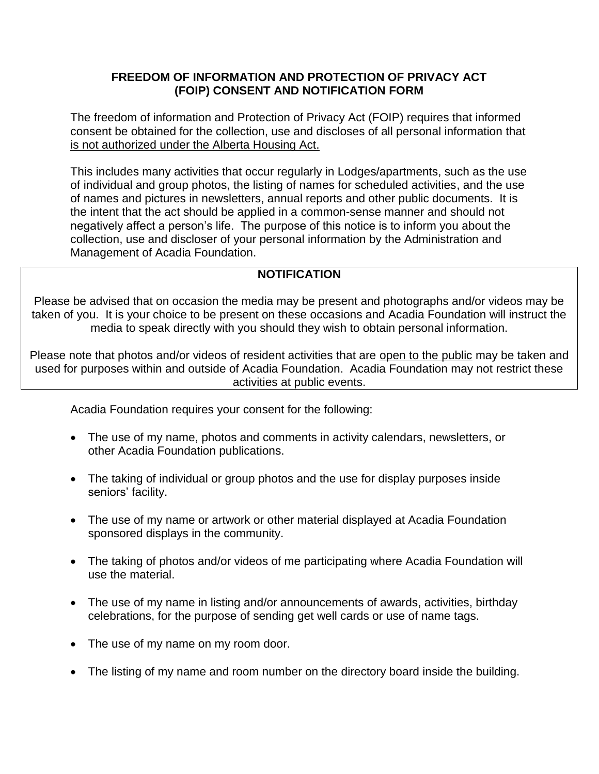#### **FREEDOM OF INFORMATION AND PROTECTION OF PRIVACY ACT (FOIP) CONSENT AND NOTIFICATION FORM**

The freedom of information and Protection of Privacy Act (FOIP) requires that informed consent be obtained for the collection, use and discloses of all personal information that is not authorized under the Alberta Housing Act.

This includes many activities that occur regularly in Lodges/apartments, such as the use of individual and group photos, the listing of names for scheduled activities, and the use of names and pictures in newsletters, annual reports and other public documents. It is the intent that the act should be applied in a common-sense manner and should not negatively affect a person's life. The purpose of this notice is to inform you about the collection, use and discloser of your personal information by the Administration and Management of Acadia Foundation.

#### **NOTIFICATION**

Please be advised that on occasion the media may be present and photographs and/or videos may be taken of you. It is your choice to be present on these occasions and Acadia Foundation will instruct the media to speak directly with you should they wish to obtain personal information.

Please note that photos and/or videos of resident activities that are open to the public may be taken and used for purposes within and outside of Acadia Foundation. Acadia Foundation may not restrict these activities at public events.

Acadia Foundation requires your consent for the following:

- The use of my name, photos and comments in activity calendars, newsletters, or other Acadia Foundation publications.
- The taking of individual or group photos and the use for display purposes inside seniors' facility.
- The use of my name or artwork or other material displayed at Acadia Foundation sponsored displays in the community.
- The taking of photos and/or videos of me participating where Acadia Foundation will use the material.
- The use of my name in listing and/or announcements of awards, activities, birthday celebrations, for the purpose of sending get well cards or use of name tags.
- The use of my name on my room door.
- The listing of my name and room number on the directory board inside the building.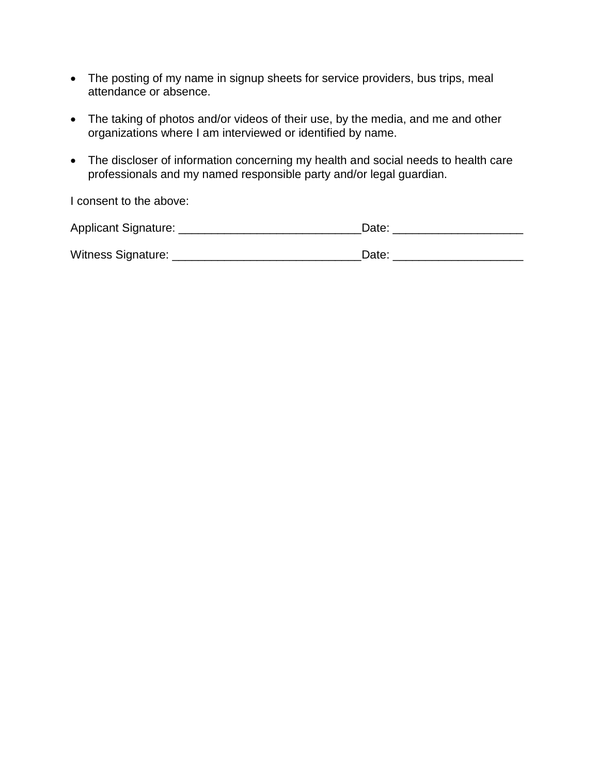- The posting of my name in signup sheets for service providers, bus trips, meal attendance or absence.
- The taking of photos and/or videos of their use, by the media, and me and other organizations where I am interviewed or identified by name.
- The discloser of information concerning my health and social needs to health care professionals and my named responsible party and/or legal guardian.

I consent to the above:

| Applicant Signature: | Date: |
|----------------------|-------|
|                      |       |
| Witness Signature:   | Date: |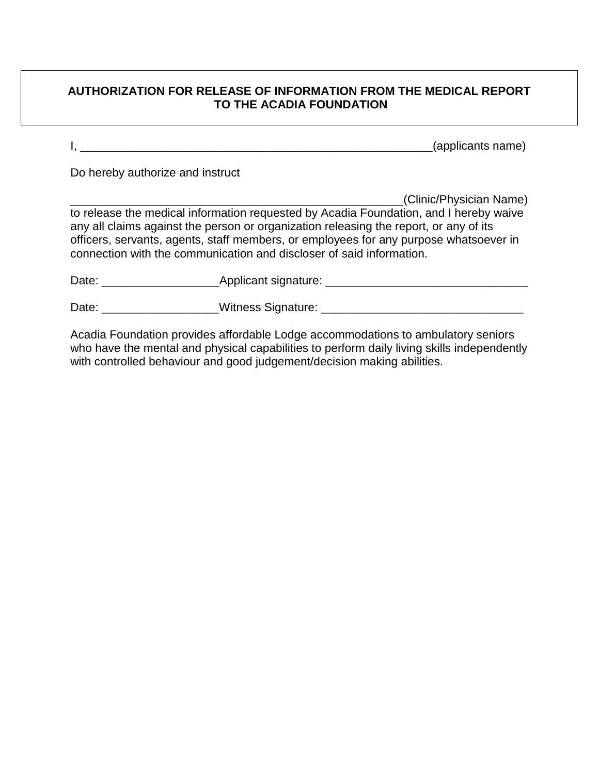#### **AUTHORIZATION FOR RELEASE OF INFORMATION FROM THE MEDICAL REPORT TO THE ACADIA FOUNDATION**

I, \_\_\_\_\_\_\_\_\_\_\_\_\_\_\_\_\_\_\_\_\_\_\_\_\_\_\_\_\_\_\_\_\_\_\_\_\_\_\_\_\_\_\_\_\_\_\_\_\_\_\_\_\_\_(applicants name)

Do hereby authorize and instruct

\_\_\_\_\_\_\_\_\_\_\_\_\_\_\_\_\_\_\_\_\_\_\_\_\_\_\_\_\_\_\_\_\_\_\_\_\_\_\_\_\_\_\_\_\_\_\_\_\_\_\_(Clinic/Physician Name) to release the medical information requested by Acadia Foundation, and I hereby waive any all claims against the person or organization releasing the report, or any of its officers, servants, agents, staff members, or employees for any purpose whatsoever in connection with the communication and discloser of said information.

| Date: | Applicant signature: |  |
|-------|----------------------|--|
|       |                      |  |
| Date: | Witness Signature:   |  |

Acadia Foundation provides affordable Lodge accommodations to ambulatory seniors who have the mental and physical capabilities to perform daily living skills independently with controlled behaviour and good judgement/decision making abilities.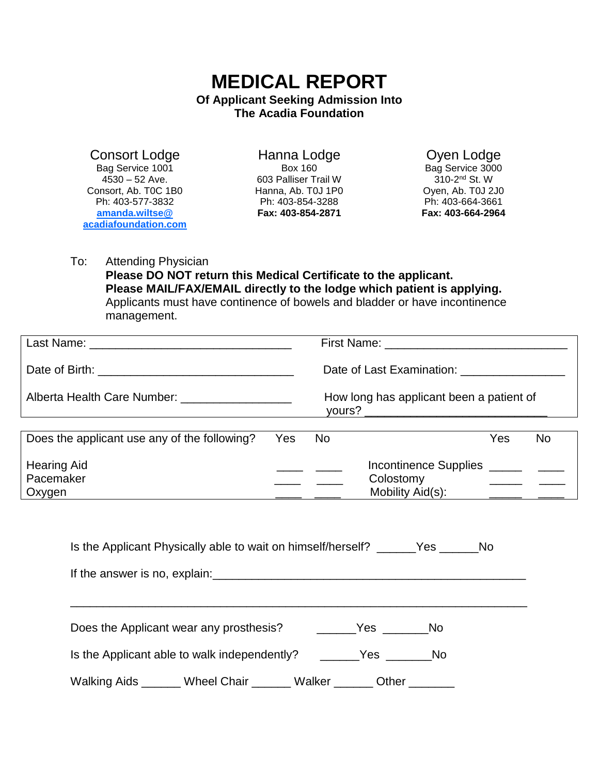## **MEDICAL REPORT Of Applicant Seeking Admission Into The Acadia Foundation**

Consort Lodge Bag Service 1001  $4530 - 52$  Ave. Consort, Ab. T0C 1B0 Ph: 403-577-3832 **amanda.wiltse@ acadiafoundation.com**

Hanna Lodge Box 160 603 Palliser Trail W Hanna, Ab. T0J 1P0 Ph: 403-854-3288 **Fax: 403-854-2871**

Oyen Lodge Bag Service 3000 310-2<sup>nd</sup> St. W Oyen, Ab. T0J 2J0 Ph: 403-664-3661 **Fax: 403-664-2964**

To: Attending Physician **Please DO NOT return this Medical Certificate to the applicant. Please MAIL/FAX/EMAIL directly to the lodge which patient is applying.**  Applicants must have continence of bowels and bladder or have incontinence management.

| Last Name: The Contract of the Contract of the Contract of the Contract of the Contract of the Contract of the |  | First Name: The Contract of the Contract of the Contract of the Contract of the Contract of the Contract of the Contract of the Contract of the Contract of the Contract of the Contract of the Contract of the Contract of th |                               |     |    |
|----------------------------------------------------------------------------------------------------------------|--|--------------------------------------------------------------------------------------------------------------------------------------------------------------------------------------------------------------------------------|-------------------------------|-----|----|
|                                                                                                                |  | Date of Last Examination: Date of Last Examination:                                                                                                                                                                            |                               |     |    |
|                                                                                                                |  | How long has applicant been a patient of<br>yours?                                                                                                                                                                             |                               |     |    |
| Does the applicant use any of the following? Yes No                                                            |  |                                                                                                                                                                                                                                |                               | Yes | No |
| <b>Hearing Aid</b><br>Pacemaker<br>Oxygen                                                                      |  |                                                                                                                                                                                                                                | Colostomy<br>Mobility Aid(s): |     |    |

| Is the Applicant Physically able to wait on himself/herself? ______Yes ______No |                                                                                                                 |  |  |  |  |
|---------------------------------------------------------------------------------|-----------------------------------------------------------------------------------------------------------------|--|--|--|--|
|                                                                                 |                                                                                                                 |  |  |  |  |
|                                                                                 |                                                                                                                 |  |  |  |  |
|                                                                                 | Does the Applicant wear any prosthesis? The Most Chester Most Chester Most Chester Most Chester Most Chester Mo |  |  |  |  |
|                                                                                 | Is the Applicant able to walk independently? ________Yes _________No                                            |  |  |  |  |
|                                                                                 | Walking Aids ______ Wheel Chair ______ Walker ______ Other                                                      |  |  |  |  |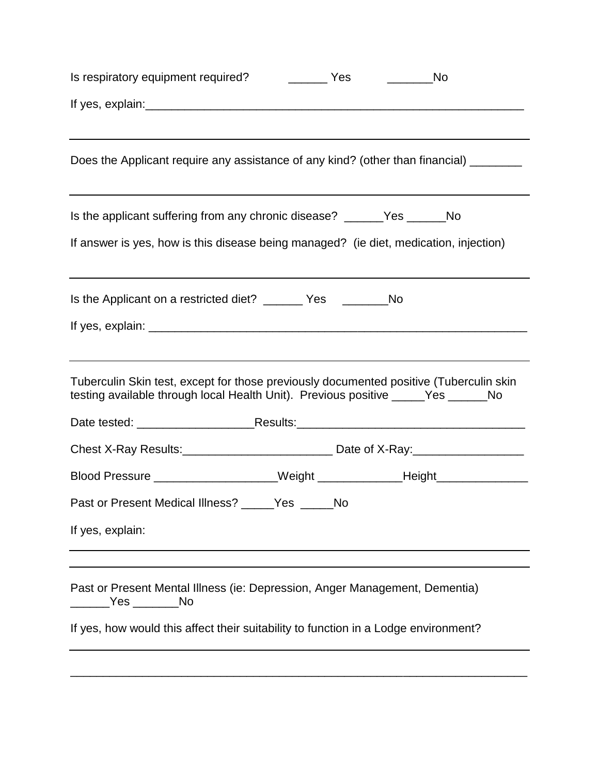|                                                                                                                                                                             |  | ________________ No |
|-----------------------------------------------------------------------------------------------------------------------------------------------------------------------------|--|---------------------|
|                                                                                                                                                                             |  |                     |
| Does the Applicant require any assistance of any kind? (other than financial) ________                                                                                      |  |                     |
| Is the applicant suffering from any chronic disease? _______Yes _______No<br>If answer is yes, how is this disease being managed? (ie diet, medication, injection)          |  |                     |
|                                                                                                                                                                             |  |                     |
| Is the Applicant on a restricted diet? ______ Yes _______No                                                                                                                 |  |                     |
|                                                                                                                                                                             |  |                     |
| Tuberculin Skin test, except for those previously documented positive (Tuberculin skin<br>testing available through local Health Unit). Previous positive _____Yes ______No |  |                     |
|                                                                                                                                                                             |  |                     |
|                                                                                                                                                                             |  |                     |
| Blood Pressure _____________________Weight ______________Height ________________                                                                                            |  |                     |
| Past or Present Medical Illness? _____Yes _____No                                                                                                                           |  |                     |
| If yes, explain:                                                                                                                                                            |  |                     |
|                                                                                                                                                                             |  |                     |
| Past or Present Mental Illness (ie: Depression, Anger Management, Dementia)<br>Yes ______No                                                                                 |  |                     |
| If yes, how would this affect their suitability to function in a Lodge environment?                                                                                         |  |                     |
|                                                                                                                                                                             |  |                     |
|                                                                                                                                                                             |  |                     |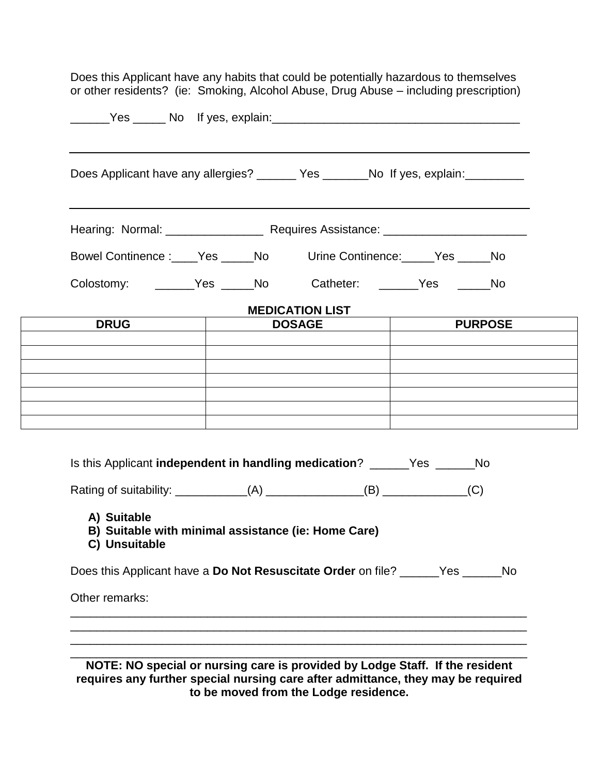|                                                                            | Does Applicant have any allergies? _______ Yes _______No If yes, explain: _______ |                |
|----------------------------------------------------------------------------|-----------------------------------------------------------------------------------|----------------|
|                                                                            |                                                                                   |                |
| Bowel Continence: _____Yes ______No Urine Continence: _____Yes _____No     |                                                                                   |                |
| Colostomy: _______Yes _____No Catheter: ______Yes _____No                  |                                                                                   |                |
|                                                                            | <b>MEDICATION LIST</b>                                                            |                |
| <b>DRUG</b>                                                                | <b>DOSAGE</b>                                                                     | <b>PURPOSE</b> |
|                                                                            |                                                                                   |                |
|                                                                            |                                                                                   |                |
|                                                                            |                                                                                   |                |
|                                                                            |                                                                                   |                |
| Is this Applicant independent in handling medication? ______Yes ______No   |                                                                                   |                |
| Rating of suitability: _____________(A) _______________(B) ____________(C) |                                                                                   |                |
| A) Suitable<br>B) Suitable with minimal assistance (ie: Home Care)         |                                                                                   |                |

**NOTE: NO special or nursing care is provided by Lodge Staff. If the resident requires any further special nursing care after admittance, they may be required to be moved from the Lodge residence.**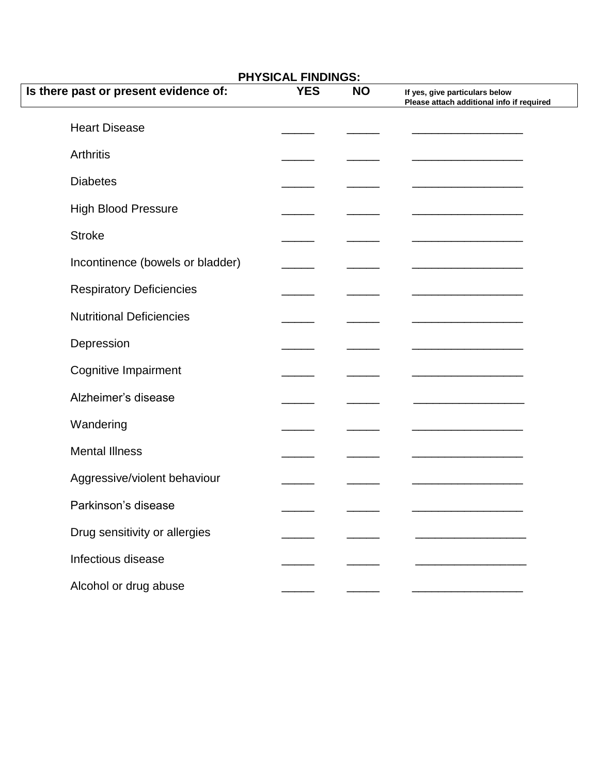| <b>PHYSICAL FINDINGS:</b>             |            |           |                                                                             |  |
|---------------------------------------|------------|-----------|-----------------------------------------------------------------------------|--|
| Is there past or present evidence of: | <b>YES</b> | <b>NO</b> | If yes, give particulars below<br>Please attach additional info if required |  |
| <b>Heart Disease</b>                  |            |           |                                                                             |  |
| <b>Arthritis</b>                      |            |           |                                                                             |  |
| <b>Diabetes</b>                       |            |           |                                                                             |  |
| <b>High Blood Pressure</b>            |            |           |                                                                             |  |
| <b>Stroke</b>                         |            |           |                                                                             |  |
| Incontinence (bowels or bladder)      |            |           |                                                                             |  |
| <b>Respiratory Deficiencies</b>       |            |           |                                                                             |  |
| <b>Nutritional Deficiencies</b>       |            |           |                                                                             |  |
| Depression                            |            |           |                                                                             |  |
| Cognitive Impairment                  |            |           |                                                                             |  |
| Alzheimer's disease                   |            |           |                                                                             |  |
| Wandering                             |            |           |                                                                             |  |
| <b>Mental Illness</b>                 |            |           |                                                                             |  |
| Aggressive/violent behaviour          |            |           |                                                                             |  |
| Parkinson's disease                   |            |           |                                                                             |  |
| Drug sensitivity or allergies         |            |           |                                                                             |  |
| Infectious disease                    |            |           |                                                                             |  |
| Alcohol or drug abuse                 |            |           |                                                                             |  |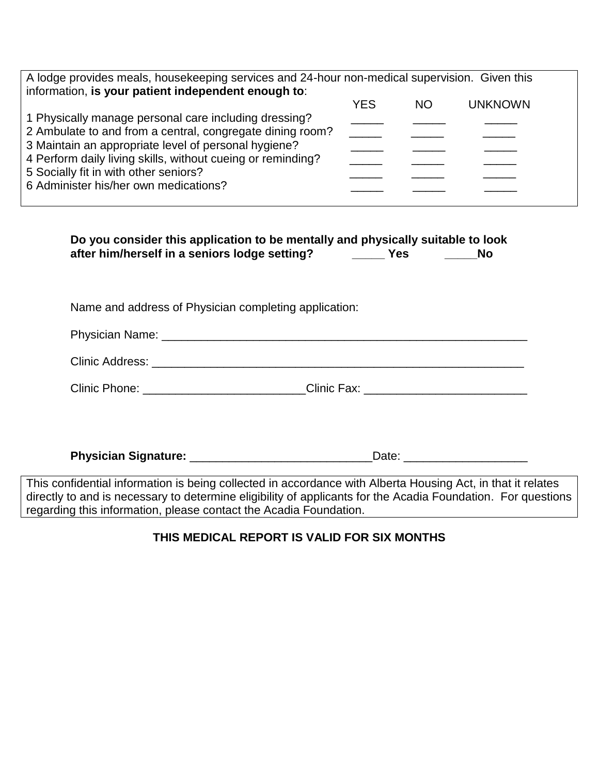| A lodge provides meals, housekeeping services and 24-hour non-medical supervision. Given this<br>information, is your patient independent enough to:                                                                                                                                                                        |                                                                    |           |                               |
|-----------------------------------------------------------------------------------------------------------------------------------------------------------------------------------------------------------------------------------------------------------------------------------------------------------------------------|--------------------------------------------------------------------|-----------|-------------------------------|
| 1 Physically manage personal care including dressing?<br>2 Ambulate to and from a central, congregate dining room?<br>3 Maintain an appropriate level of personal hygiene?<br>4 Perform daily living skills, without cueing or reminding?<br>5 Socially fit in with other seniors?<br>6 Administer his/her own medications? | <b>YES</b><br>$\overline{\phantom{a}}$<br>$\overline{\phantom{a}}$ | <b>NO</b> | <b>UNKNOWN</b>                |
| Do you consider this application to be mentally and physically suitable to look<br>after him/herself in a seniors lodge setting? _________ Yes                                                                                                                                                                              |                                                                    |           | <b>No</b>                     |
| Name and address of Physician completing application:                                                                                                                                                                                                                                                                       |                                                                    |           |                               |
|                                                                                                                                                                                                                                                                                                                             |                                                                    |           |                               |
|                                                                                                                                                                                                                                                                                                                             |                                                                    |           |                               |
| Clinic Phone: __________________________Clinic Fax: ____________________________                                                                                                                                                                                                                                            |                                                                    |           |                               |
|                                                                                                                                                                                                                                                                                                                             |                                                                    |           |                               |
|                                                                                                                                                                                                                                                                                                                             |                                                                    |           | Date: _______________________ |
| This confidential information is being collected in accordance with Alberta Housing Act, in that it relates                                                                                                                                                                                                                 |                                                                    |           |                               |

This confidential information is being collected in accordance with Alberta Housing Act, in that it relates directly to and is necessary to determine eligibility of applicants for the Acadia Foundation. For questions regarding this information, please contact the Acadia Foundation.

## **THIS MEDICAL REPORT IS VALID FOR SIX MONTHS**